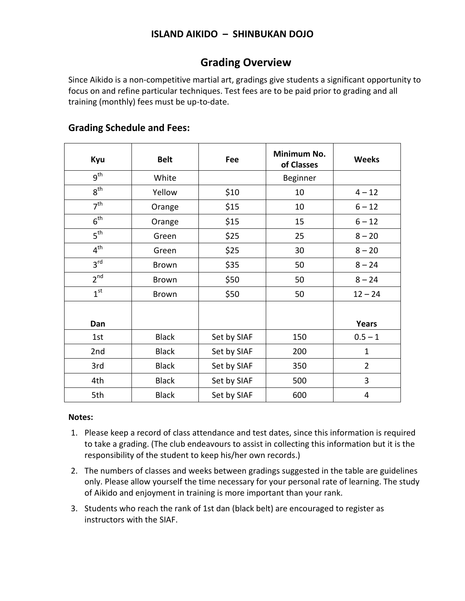### **Grading Overview**

Since Aikido is a non-competitive martial art, gradings give students a significant opportunity to focus on and refine particular techniques. Test fees are to be paid prior to grading and all training (monthly) fees must be up-to-date.

| Kyu             | <b>Belt</b>  | Fee         | Minimum No.<br>of Classes | <b>Weeks</b>   |
|-----------------|--------------|-------------|---------------------------|----------------|
| gth             | White        |             | Beginner                  |                |
| 8 <sup>th</sup> | Yellow       | \$10        | 10                        | $4 - 12$       |
| 7 <sup>th</sup> | Orange       | \$15        | 10                        | $6 - 12$       |
| 6 <sup>th</sup> | Orange       | \$15        | 15                        | $6 - 12$       |
| 5 <sup>th</sup> | Green        | \$25        | 25                        | $8 - 20$       |
| 4 <sup>th</sup> | Green        | \$25        | 30                        | $8 - 20$       |
| 3 <sup>rd</sup> | <b>Brown</b> | \$35        | 50                        | $8 - 24$       |
| 2 <sup>nd</sup> | Brown        | \$50        | 50                        | $8 - 24$       |
| 1 <sup>st</sup> | Brown        | \$50        | 50                        | $12 - 24$      |
|                 |              |             |                           |                |
| Dan             |              |             |                           | Years          |
| 1st             | <b>Black</b> | Set by SIAF | 150                       | $0.5 - 1$      |
| 2 <sub>nd</sub> | <b>Black</b> | Set by SIAF | 200                       | $\mathbf{1}$   |
| 3rd             | <b>Black</b> | Set by SIAF | 350                       | $\overline{2}$ |
| 4th             | <b>Black</b> | Set by SIAF | 500                       | 3              |
| 5th             | <b>Black</b> | Set by SIAF | 600                       | 4              |

#### **Grading Schedule and Fees:**

#### **Notes:**

- 1. Please keep a record of class attendance and test dates, since this information is required to take a grading. (The club endeavours to assist in collecting this information but it is the responsibility of the student to keep his/her own records.)
- 2. The numbers of classes and weeks between gradings suggested in the table are guidelines only. Please allow yourself the time necessary for your personal rate of learning. The study of Aikido and enjoyment in training is more important than your rank.
- 3. Students who reach the rank of 1st dan (black belt) are encouraged to register as instructors with the SIAF.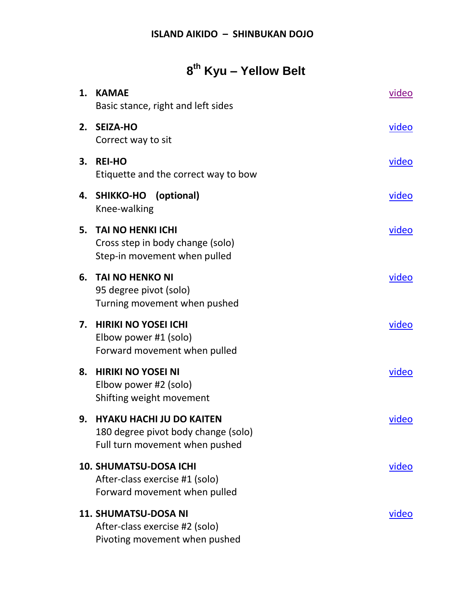## **8 th Kyu – Yellow Belt**

| 1. | <b>KAMAE</b><br>Basic stance, right and left sides                                                   | video        |
|----|------------------------------------------------------------------------------------------------------|--------------|
| 2. | <b>SEIZA-HO</b><br>Correct way to sit                                                                | video        |
| 3. | <b>REI-HO</b><br>Etiquette and the correct way to bow                                                | video        |
|    | 4. SHIKKO-HO (optional)<br>Knee-walking                                                              | <u>video</u> |
| 5. | <b>TAI NO HENKI ICHI</b><br>Cross step in body change (solo)<br>Step-in movement when pulled         | video        |
| 6. | <b>TAI NO HENKO NI</b><br>95 degree pivot (solo)<br>Turning movement when pushed                     | video        |
| 7. | <b>HIRIKI NO YOSEI ICHI</b><br>Elbow power #1 (solo)<br>Forward movement when pulled                 | video        |
| 8. | <b>HIRIKI NO YOSEI NI</b><br>Elbow power #2 (solo)<br>Shifting weight movement                       | video        |
|    | 9. HYAKU HACHI JU DO KAITEN<br>180 degree pivot body change (solo)<br>Full turn movement when pushed | video        |
|    | <b>10. SHUMATSU-DOSA ICHI</b><br>After-class exercise #1 (solo)<br>Forward movement when pulled      | video        |
|    | <b>11. SHUMATSU-DOSA NI</b><br>After-class exercise #2 (solo)<br>Pivoting movement when pushed       | video        |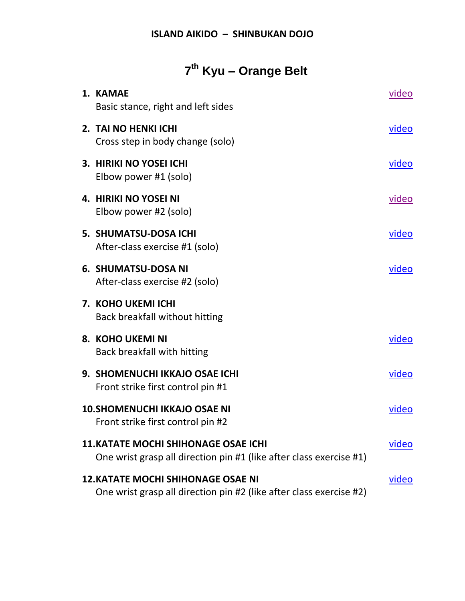# **7 th Kyu – Orange Belt**

| 1. KAMAE<br>Basic stance, right and left sides                                                                     | video        |
|--------------------------------------------------------------------------------------------------------------------|--------------|
| 2. TAI NO HENKI ICHI<br>Cross step in body change (solo)                                                           | video        |
| 3. HIRIKI NO YOSEI ICHI<br>Elbow power #1 (solo)                                                                   | video        |
| <b>4. HIRIKI NO YOSEI NI</b><br>Elbow power #2 (solo)                                                              | video        |
| 5. SHUMATSU-DOSA ICHI<br>After-class exercise #1 (solo)                                                            | <u>video</u> |
| <b>6. SHUMATSU-DOSA NI</b><br>After-class exercise #2 (solo)                                                       | video        |
| 7. KOHO UKEMI ICHI<br>Back breakfall without hitting                                                               |              |
| 8. KOHO UKEMI NI<br>Back breakfall with hitting                                                                    | video        |
| 9. SHOMENUCHI IKKAJO OSAE ICHI<br>Front strike first control pin #1                                                | video        |
| <b>10. SHOMENUCHI IKKAJO OSAE NI</b><br>Front strike first control pin #2                                          | video        |
| <b>11. KATATE MOCHI SHIHONAGE OSAE ICHI</b><br>One wrist grasp all direction pin #1 (like after class exercise #1) | video        |
| <b>12. KATATE MOCHI SHIHONAGE OSAE NI</b><br>One wrist grasp all direction pin #2 (like after class exercise #2)   | video        |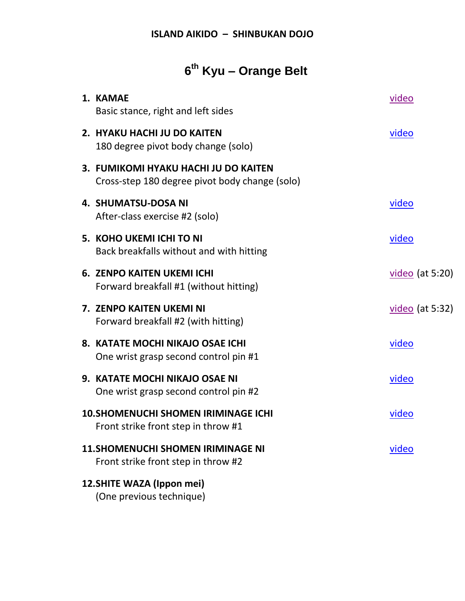# **6 th Kyu – Orange Belt**

| 1. KAMAE<br>Basic stance, right and left sides                                         | video             |
|----------------------------------------------------------------------------------------|-------------------|
| 2. HYAKU HACHI JU DO KAITEN<br>180 degree pivot body change (solo)                     | video             |
| 3. FUMIKOMI HYAKU HACHI JU DO KAITEN<br>Cross-step 180 degree pivot body change (solo) |                   |
| <b>4. SHUMATSU-DOSA NI</b><br>After-class exercise #2 (solo)                           | video             |
| 5. KOHO UKEMI ICHI TO NI<br>Back breakfalls without and with hitting                   | <u>video</u>      |
| <b>6. ZENPO KAITEN UKEMI ICHI</b><br>Forward breakfall #1 (without hitting)            | $video$ (at 5:20) |
| 7. ZENPO KAITEN UKEMI NI<br>Forward breakfall #2 (with hitting)                        | $video (at 5:32)$ |
| 8. KATATE MOCHI NIKAJO OSAE ICHI<br>One wrist grasp second control pin #1              | <u>video</u>      |
| 9. KATATE MOCHI NIKAJO OSAE NI<br>One wrist grasp second control pin #2                | video             |
| <b>10. SHOMENUCHI SHOMEN IRIMINAGE ICHI</b><br>Front strike front step in throw #1     | video             |
| <b>11. SHOMENUCHI SHOMEN IRIMINAGE NI</b><br>Front strike front step in throw #2       | video             |
| 12. SHITE WAZA (Ippon mei)<br>(One previous technique)                                 |                   |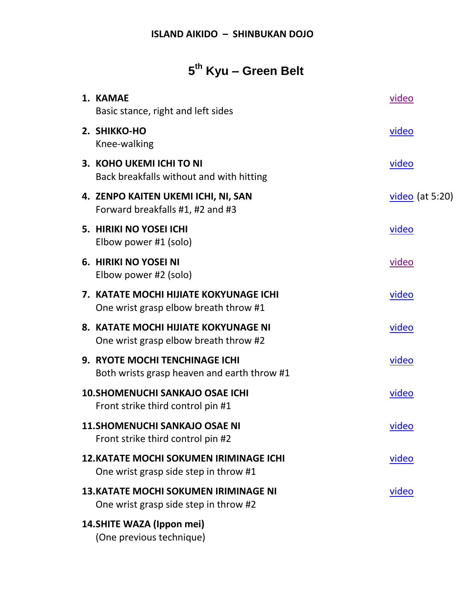# **5 th Kyu – Green Belt**

| 1. KAMAE<br>Basic stance, right and left sides                                          | video             |
|-----------------------------------------------------------------------------------------|-------------------|
| 2. SHIKKO-HO<br>Knee-walking                                                            | <u>video</u>      |
| 3. KOHO UKEMI ICHI TO NI<br>Back breakfalls without and with hitting                    | <u>video</u>      |
| 4. ZENPO KAITEN UKEMI ICHI, NI, SAN<br>Forward breakfalls #1, #2 and #3                 | $video$ (at 5:20) |
| 5. HIRIKI NO YOSEI ICHI<br>Elbow power #1 (solo)                                        | <u>video</u>      |
| 6. HIRIKI NO YOSEI NI<br>Elbow power #2 (solo)                                          | <u>video</u>      |
| 7. KATATE MOCHI HIJIATE KOKYUNAGE ICHI<br>One wrist grasp elbow breath throw #1         | <u>video</u>      |
| 8. KATATE MOCHI HIJIATE KOKYUNAGE NI<br>One wrist grasp elbow breath throw #2           | <u>video</u>      |
| 9. RYOTE MOCHI TENCHINAGE ICHI<br>Both wrists grasp heaven and earth throw #1           | <u>video</u>      |
| <b>10. SHOMENUCHI SANKAJO OSAE ICHI</b><br>Front strike third control pin #1            | <u>video</u>      |
| <b>11.SHOMENUCHI SANKAJO OSAE NI</b><br>Front strike third control pin #2               | video             |
| <b>12. KATATE MOCHI SOKUMEN IRIMINAGE ICHI</b><br>One wrist grasp side step in throw #1 | <u>video</u>      |
| <b>13. KATATE MOCHI SOKUMEN IRIMINAGE NI</b><br>One wrist grasp side step in throw #2   | <u>video</u>      |
| 14. SHITE WAZA (Ippon mei)<br>(One previous technique)                                  |                   |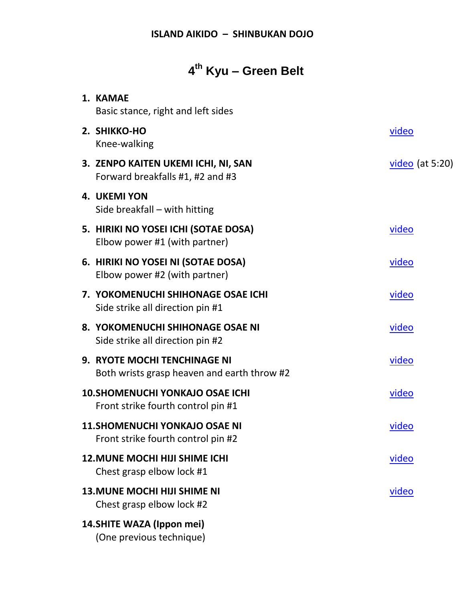# **4 th Kyu – Green Belt**

| 1. KAMAE<br>Basic stance, right and left sides                                     |                   |
|------------------------------------------------------------------------------------|-------------------|
| 2. SHIKKO-HO<br>Knee-walking                                                       | <u>video</u>      |
| 3. ZENPO KAITEN UKEMI ICHI, NI, SAN<br>Forward breakfalls #1, #2 and #3            | $video$ (at 5:20) |
| <b>4. UKEMI YON</b><br>Side breakfall – with hitting                               |                   |
| 5. HIRIKI NO YOSEI ICHI (SOTAE DOSA)<br>Elbow power #1 (with partner)              | <u>video</u>      |
| 6. HIRIKI NO YOSEI NI (SOTAE DOSA)<br>Elbow power #2 (with partner)                | video             |
| 7. YOKOMENUCHI SHIHONAGE OSAE ICHI<br>Side strike all direction pin #1             | <u>video</u>      |
| 8. YOKOMENUCHI SHIHONAGE OSAE NI<br>Side strike all direction pin #2               | video             |
| <b>9. RYOTE MOCHI TENCHINAGE NI</b><br>Both wrists grasp heaven and earth throw #2 | video             |
| <b>10. SHOMENUCHI YONKAJO OSAE ICHI</b><br>Front strike fourth control pin #1      | <u>video</u>      |
| <b>11. SHOMENUCHI YONKAJO OSAE NI</b><br>Front strike fourth control pin #2        | video             |
| <b>12. MUNE MOCHI HIJI SHIME ICHI</b><br>Chest grasp elbow lock #1                 | <u>video</u>      |
| <b>13. MUNE MOCHI HIJI SHIME NI</b><br>Chest grasp elbow lock #2                   | <u>video</u>      |
| 14. SHITE WAZA (Ippon mei)<br>(One previous technique)                             |                   |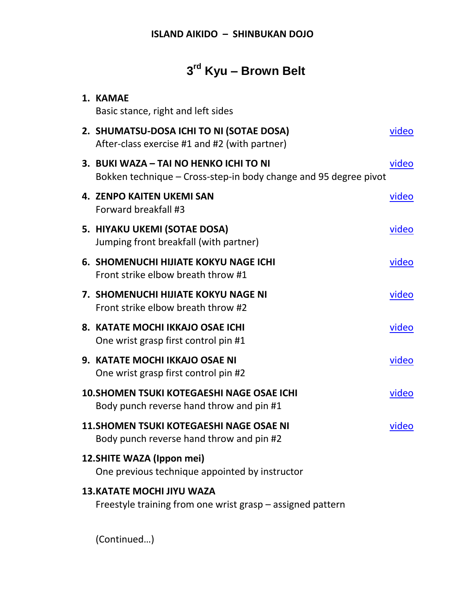# **3 rd Kyu – Brown Belt**

| 1. KAMAE<br>Basic stance, right and left sides                                                             |       |
|------------------------------------------------------------------------------------------------------------|-------|
| 2. SHUMATSU-DOSA ICHI TO NI (SOTAE DOSA)<br>After-class exercise #1 and #2 (with partner)                  | video |
| 3. BUKI WAZA - TAI NO HENKO ICHI TO NI<br>Bokken technique – Cross-step-in body change and 95 degree pivot | video |
| <b>4. ZENPO KAITEN UKEMI SAN</b><br>Forward breakfall #3                                                   | video |
| 5. HIYAKU UKEMI (SOTAE DOSA)<br>Jumping front breakfall (with partner)                                     | video |
| <b>6. SHOMENUCHI HIJIATE KOKYU NAGE ICHI</b><br>Front strike elbow breath throw #1                         | video |
| <b>7. SHOMENUCHI HIJIATE KOKYU NAGE NI</b><br>Front strike elbow breath throw #2                           | video |
| 8. KATATE MOCHI IKKAJO OSAE ICHI<br>One wrist grasp first control pin #1                                   | video |
| 9. KATATE MOCHI IKKAJO OSAE NI<br>One wrist grasp first control pin #2                                     | video |
| <b>10. SHOMEN TSUKI KOTEGAESHI NAGE OSAE ICHI</b><br>Body punch reverse hand throw and pin #1              | video |
| <b>11. SHOMEN TSUKI KOTEGAESHI NAGE OSAE NI</b><br>Body punch reverse hand throw and pin #2                | video |
| 12. SHITE WAZA (Ippon mei)<br>One previous technique appointed by instructor                               |       |
| <b>13. KATATE MOCHI JIYU WAZA</b><br>Freestyle training from one wrist grasp – assigned pattern            |       |

(Continued…)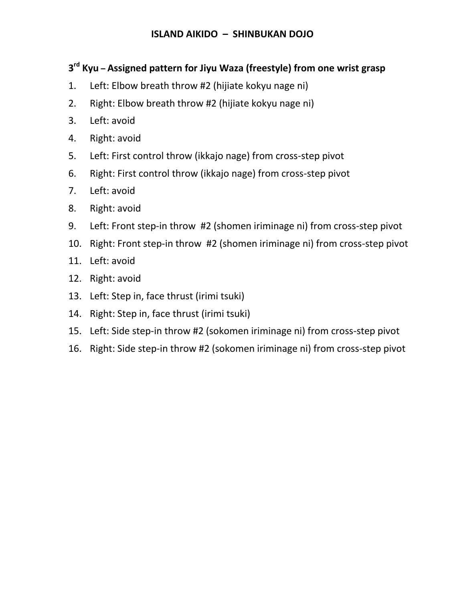### **3 rd Kyu – Assigned pattern for Jiyu Waza (freestyle) from one wrist grasp**

- 1. Left: Elbow breath throw #2 (hijiate kokyu nage ni)
- 2. Right: Elbow breath throw #2 (hijiate kokyu nage ni)
- 3. Left: avoid
- 4. Right: avoid
- 5. Left: First control throw (ikkajo nage) from cross-step pivot
- 6. Right: First control throw (ikkajo nage) from cross-step pivot
- 7. Left: avoid
- 8. Right: avoid
- 9. Left: Front step-in throw #2 (shomen iriminage ni) from cross-step pivot
- 10. Right: Front step-in throw #2 (shomen iriminage ni) from cross-step pivot
- 11. Left: avoid
- 12. Right: avoid
- 13. Left: Step in, face thrust (irimi tsuki)
- 14. Right: Step in, face thrust (irimi tsuki)
- 15. Left: Side step-in throw #2 (sokomen iriminage ni) from cross-step pivot
- 16. Right: Side step-in throw #2 (sokomen iriminage ni) from cross-step pivot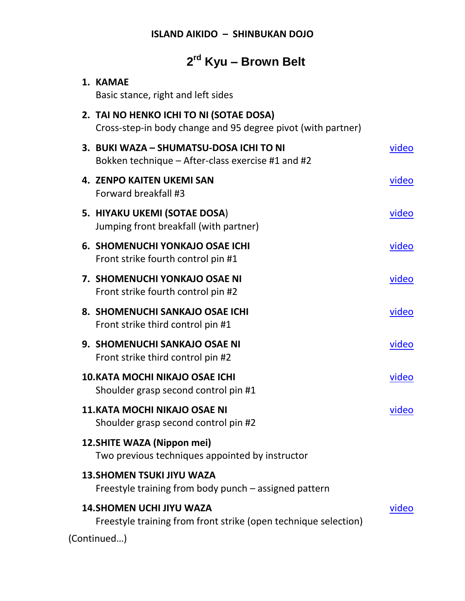## **2 rd Kyu – Brown Belt**

| 1. KAMAE<br>Basic stance, right and left sides                                                          |              |
|---------------------------------------------------------------------------------------------------------|--------------|
| 2. TAI NO HENKO ICHI TO NI (SOTAE DOSA)<br>Cross-step-in body change and 95 degree pivot (with partner) |              |
| 3. BUKI WAZA - SHUMATSU-DOSA ICHI TO NI<br>Bokken technique – After-class exercise #1 and #2            | video        |
| <b>4. ZENPO KAITEN UKEMI SAN</b><br>Forward breakfall #3                                                | <u>video</u> |
| 5. HIYAKU UKEMI (SOTAE DOSA)<br>Jumping front breakfall (with partner)                                  | video        |
| <b>6. SHOMENUCHI YONKAJO OSAE ICHI</b><br>Front strike fourth control pin #1                            | video        |
| 7. SHOMENUCHI YONKAJO OSAE NI<br>Front strike fourth control pin #2                                     | <u>video</u> |
| 8. SHOMENUCHI SANKAJO OSAE ICHI<br>Front strike third control pin #1                                    | video        |
| 9. SHOMENUCHI SANKAJO OSAE NI<br>Front strike third control pin #2                                      | video        |
| 10. KATA MOCHI NIKAJO OSAE ICHI<br>Shoulder grasp second control pin #1                                 | video        |
| <b>11. KATA MOCHI NIKAJO OSAE NI</b><br>Shoulder grasp second control pin #2                            | video        |
| 12. SHITE WAZA (Nippon mei)<br>Two previous techniques appointed by instructor                          |              |
| <b>13. SHOMEN TSUKI JIYU WAZA</b><br>Freestyle training from body punch – assigned pattern              |              |
| <b>14. SHOMEN UCHI JIYU WAZA</b><br>Freestyle training from front strike (open technique selection)     | <u>video</u> |
| (Continued)                                                                                             |              |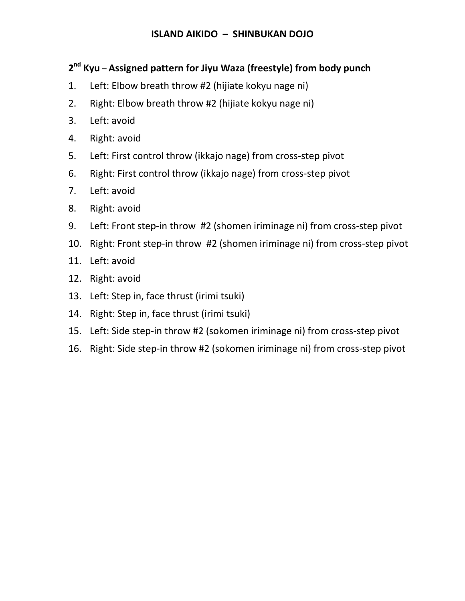### **2 nd Kyu – Assigned pattern for Jiyu Waza (freestyle) from body punch**

- 1. Left: Elbow breath throw #2 (hijiate kokyu nage ni)
- 2. Right: Elbow breath throw #2 (hijiate kokyu nage ni)
- 3. Left: avoid
- 4. Right: avoid
- 5. Left: First control throw (ikkajo nage) from cross-step pivot
- 6. Right: First control throw (ikkajo nage) from cross-step pivot
- 7. Left: avoid
- 8. Right: avoid
- 9. Left: Front step-in throw #2 (shomen iriminage ni) from cross-step pivot
- 10. Right: Front step-in throw #2 (shomen iriminage ni) from cross-step pivot
- 11. Left: avoid
- 12. Right: avoid
- 13. Left: Step in, face thrust (irimi tsuki)
- 14. Right: Step in, face thrust (irimi tsuki)
- 15. Left: Side step-in throw #2 (sokomen iriminage ni) from cross-step pivot
- 16. Right: Side step-in throw #2 (sokomen iriminage ni) from cross-step pivot